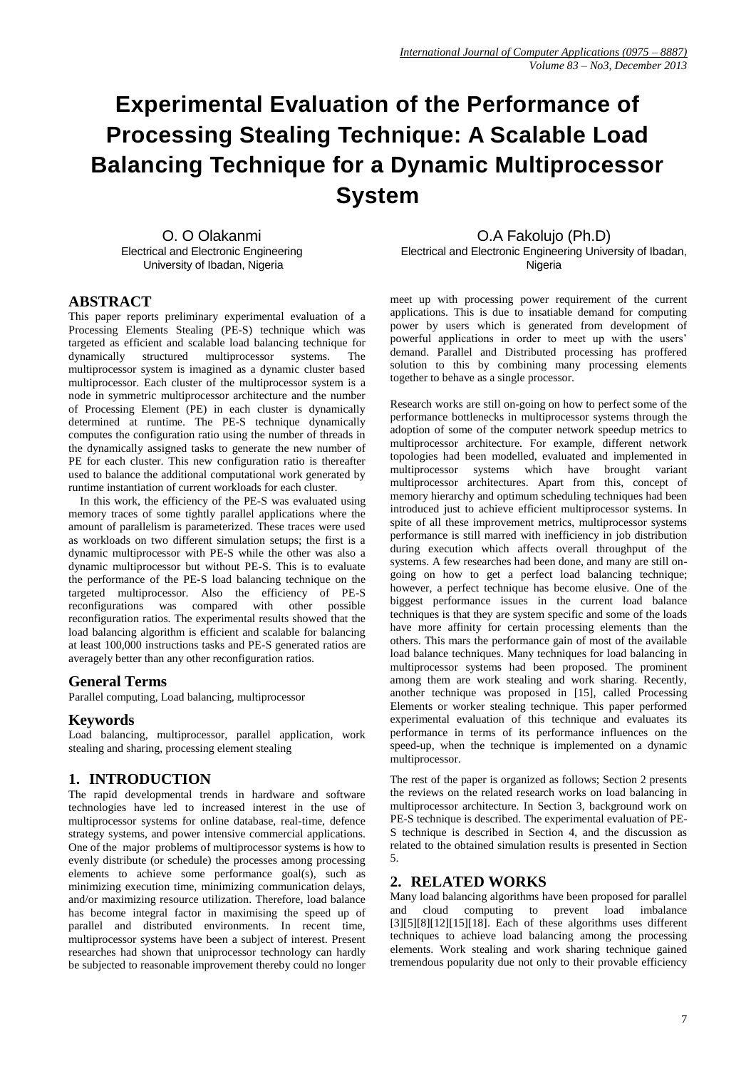# **Experimental Evaluation of the Performance of Processing Stealing Technique: A Scalable Load Balancing Technique for a Dynamic Multiprocessor System**

O. O Olakanmi Electrical and Electronic Engineering University of Ibadan, Nigeria

O.A Fakolujo (Ph.D)

Electrical and Electronic Engineering University of Ibadan, Nigeria

## **ABSTRACT**

This paper reports preliminary experimental evaluation of a Processing Elements Stealing (PE-S) technique which was targeted as efficient and scalable load balancing technique for dynamically structured multiprocessor systems. The multiprocessor system is imagined as a dynamic cluster based multiprocessor. Each cluster of the multiprocessor system is a node in symmetric multiprocessor architecture and the number of Processing Element (PE) in each cluster is dynamically determined at runtime. The PE-S technique dynamically computes the configuration ratio using the number of threads in the dynamically assigned tasks to generate the new number of PE for each cluster. This new configuration ratio is thereafter used to balance the additional computational work generated by runtime instantiation of current workloads for each cluster.

In this work, the efficiency of the PE-S was evaluated using memory traces of some tightly parallel applications where the amount of parallelism is parameterized. These traces were used as workloads on two different simulation setups; the first is a dynamic multiprocessor with PE-S while the other was also a dynamic multiprocessor but without PE-S. This is to evaluate the performance of the PE-S load balancing technique on the targeted multiprocessor. Also the efficiency of PE-S<br>reconfigurations was compared with other possible reconfigurations was compared with other reconfiguration ratios. The experimental results showed that the load balancing algorithm is efficient and scalable for balancing at least 100,000 instructions tasks and PE-S generated ratios are averagely better than any other reconfiguration ratios.

## **General Terms**

Parallel computing, Load balancing, multiprocessor

## **Keywords**

Load balancing, multiprocessor, parallel application, work stealing and sharing, processing element stealing

# **1. INTRODUCTION**

The rapid developmental trends in hardware and software technologies have led to increased interest in the use of multiprocessor systems for online database, real-time, defence strategy systems, and power intensive commercial applications. One of the major problems of multiprocessor systems is how to evenly distribute (or schedule) the processes among processing elements to achieve some performance goal(s), such as minimizing execution time, minimizing communication delays, and/or maximizing resource utilization. Therefore, load balance has become integral factor in maximising the speed up of parallel and distributed environments. In recent time, multiprocessor systems have been a subject of interest. Present researches had shown that uniprocessor technology can hardly be subjected to reasonable improvement thereby could no longer

meet up with processing power requirement of the current applications. This is due to insatiable demand for computing power by users which is generated from development of powerful applications in order to meet up with the users' demand. Parallel and Distributed processing has proffered solution to this by combining many processing elements together to behave as a single processor.

Research works are still on-going on how to perfect some of the performance bottlenecks in multiprocessor systems through the adoption of some of the computer network speedup metrics to multiprocessor architecture. For example, different network topologies had been modelled, evaluated and implemented in multiprocessor systems which have brought variant multiprocessor architectures. Apart from this, concept of memory hierarchy and optimum scheduling techniques had been introduced just to achieve efficient multiprocessor systems. In spite of all these improvement metrics, multiprocessor systems performance is still marred with inefficiency in job distribution during execution which affects overall throughput of the systems. A few researches had been done, and many are still ongoing on how to get a perfect load balancing technique: however, a perfect technique has become elusive. One of the biggest performance issues in the current load balance techniques is that they are system specific and some of the loads have more affinity for certain processing elements than the others. This mars the performance gain of most of the available load balance techniques. Many techniques for load balancing in multiprocessor systems had been proposed. The prominent among them are work stealing and work sharing. Recently, another technique was proposed in [15], called Processing Elements or worker stealing technique. This paper performed experimental evaluation of this technique and evaluates its performance in terms of its performance influences on the speed-up, when the technique is implemented on a dynamic multiprocessor.

The rest of the paper is organized as follows; Section 2 presents the reviews on the related research works on load balancing in multiprocessor architecture. In Section 3, background work on PE-S technique is described. The experimental evaluation of PE-S technique is described in Section 4, and the discussion as related to the obtained simulation results is presented in Section 5.

# **2. RELATED WORKS**

Many load balancing algorithms have been proposed for parallel and cloud computing to prevent load imbalance  $[3][5][8][12][15][18]$ . Each of these algorithms uses different techniques to achieve load balancing among the processing elements. Work stealing and work sharing technique gained tremendous popularity due not only to their provable efficiency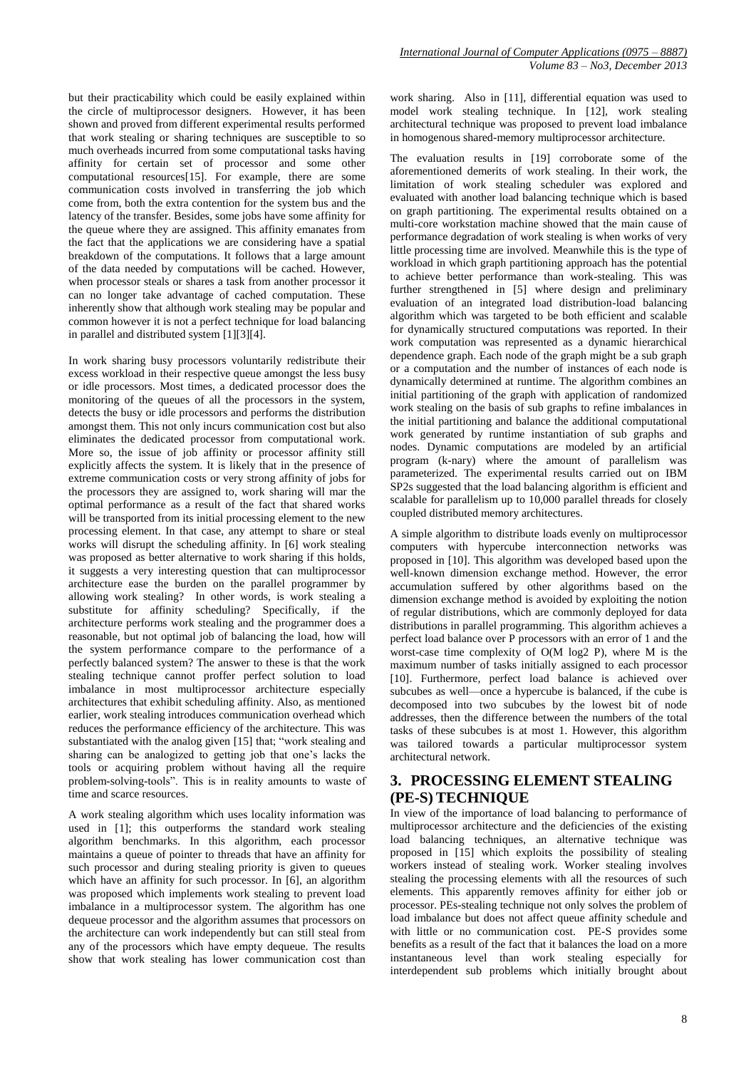but their practicability which could be easily explained within the circle of multiprocessor designers. However, it has been shown and proved from different experimental results performed that work stealing or sharing techniques are susceptible to so much overheads incurred from some computational tasks having affinity for certain set of processor and some other computational resources[15]. For example, there are some communication costs involved in transferring the job which come from, both the extra contention for the system bus and the latency of the transfer. Besides, some jobs have some affinity for the queue where they are assigned. This affinity emanates from the fact that the applications we are considering have a spatial breakdown of the computations. It follows that a large amount of the data needed by computations will be cached. However, when processor steals or shares a task from another processor it can no longer take advantage of cached computation. These inherently show that although work stealing may be popular and common however it is not a perfect technique for load balancing in parallel and distributed system [1][3][4].

In work sharing busy processors voluntarily redistribute their excess workload in their respective queue amongst the less busy or idle processors. Most times, a dedicated processor does the monitoring of the queues of all the processors in the system, detects the busy or idle processors and performs the distribution amongst them. This not only incurs communication cost but also eliminates the dedicated processor from computational work. More so, the issue of job affinity or processor affinity still explicitly affects the system. It is likely that in the presence of extreme communication costs or very strong affinity of jobs for the processors they are assigned to, work sharing will mar the optimal performance as a result of the fact that shared works will be transported from its initial processing element to the new processing element. In that case, any attempt to share or steal works will disrupt the scheduling affinity. In [6] work stealing was proposed as better alternative to work sharing if this holds, it suggests a very interesting question that can multiprocessor architecture ease the burden on the parallel programmer by allowing work stealing? In other words, is work stealing a substitute for affinity scheduling? Specifically, if the architecture performs work stealing and the programmer does a reasonable, but not optimal job of balancing the load, how will the system performance compare to the performance of a perfectly balanced system? The answer to these is that the work stealing technique cannot proffer perfect solution to load imbalance in most multiprocessor architecture especially architectures that exhibit scheduling affinity. Also, as mentioned earlier, work stealing introduces communication overhead which reduces the performance efficiency of the architecture. This was substantiated with the analog given [15] that; "work stealing and sharing can be analogized to getting job that one's lacks the tools or acquiring problem without having all the require problem-solving-tools". This is in reality amounts to waste of time and scarce resources.

A work stealing algorithm which uses locality information was used in [1]; this outperforms the standard work stealing algorithm benchmarks. In this algorithm, each processor maintains a queue of pointer to threads that have an affinity for such processor and during stealing priority is given to queues which have an affinity for such processor. In [6], an algorithm was proposed which implements work stealing to prevent load imbalance in a multiprocessor system. The algorithm has one dequeue processor and the algorithm assumes that processors on the architecture can work independently but can still steal from any of the processors which have empty dequeue. The results show that work stealing has lower communication cost than

work sharing. Also in [11], differential equation was used to model work stealing technique. In [12], work stealing architectural technique was proposed to prevent load imbalance in homogenous shared-memory multiprocessor architecture.

The evaluation results in [19] corroborate some of the aforementioned demerits of work stealing. In their work, the limitation of work stealing scheduler was explored and evaluated with another load balancing technique which is based on graph partitioning. The experimental results obtained on a multi-core workstation machine showed that the main cause of performance degradation of work stealing is when works of very little processing time are involved. Meanwhile this is the type of workload in which graph partitioning approach has the potential to achieve better performance than work-stealing. This was further strengthened in [5] where design and preliminary evaluation of an integrated load distribution-load balancing algorithm which was targeted to be both efficient and scalable for dynamically structured computations was reported. In their work computation was represented as a dynamic hierarchical dependence graph. Each node of the graph might be a sub graph or a computation and the number of instances of each node is dynamically determined at runtime. The algorithm combines an initial partitioning of the graph with application of randomized work stealing on the basis of sub graphs to refine imbalances in the initial partitioning and balance the additional computational work generated by runtime instantiation of sub graphs and nodes. Dynamic computations are modeled by an artificial program (k-nary) where the amount of parallelism was parameterized. The experimental results carried out on IBM SP2s suggested that the load balancing algorithm is efficient and scalable for parallelism up to 10,000 parallel threads for closely coupled distributed memory architectures.

A simple algorithm to distribute loads evenly on multiprocessor computers with hypercube interconnection networks was proposed in [10]. This algorithm was developed based upon the well-known dimension exchange method. However, the error accumulation suffered by other algorithms based on the dimension exchange method is avoided by exploiting the notion of regular distributions, which are commonly deployed for data distributions in parallel programming. This algorithm achieves a perfect load balance over P processors with an error of 1 and the worst-case time complexity of O(M log2 P), where M is the maximum number of tasks initially assigned to each processor [10]. Furthermore, perfect load balance is achieved over subcubes as well—once a hypercube is balanced, if the cube is decomposed into two subcubes by the lowest bit of node addresses, then the difference between the numbers of the total tasks of these subcubes is at most 1. However, this algorithm was tailored towards a particular multiprocessor system architectural network.

# **3. PROCESSING ELEMENT STEALING (PE-S) TECHNIQUE**

In view of the importance of load balancing to performance of multiprocessor architecture and the deficiencies of the existing load balancing techniques, an alternative technique was proposed in [15] which exploits the possibility of stealing workers instead of stealing work. Worker stealing involves stealing the processing elements with all the resources of such elements. This apparently removes affinity for either job or processor. PEs-stealing technique not only solves the problem of load imbalance but does not affect queue affinity schedule and with little or no communication cost. PE-S provides some benefits as a result of the fact that it balances the load on a more instantaneous level than work stealing especially for interdependent sub problems which initially brought about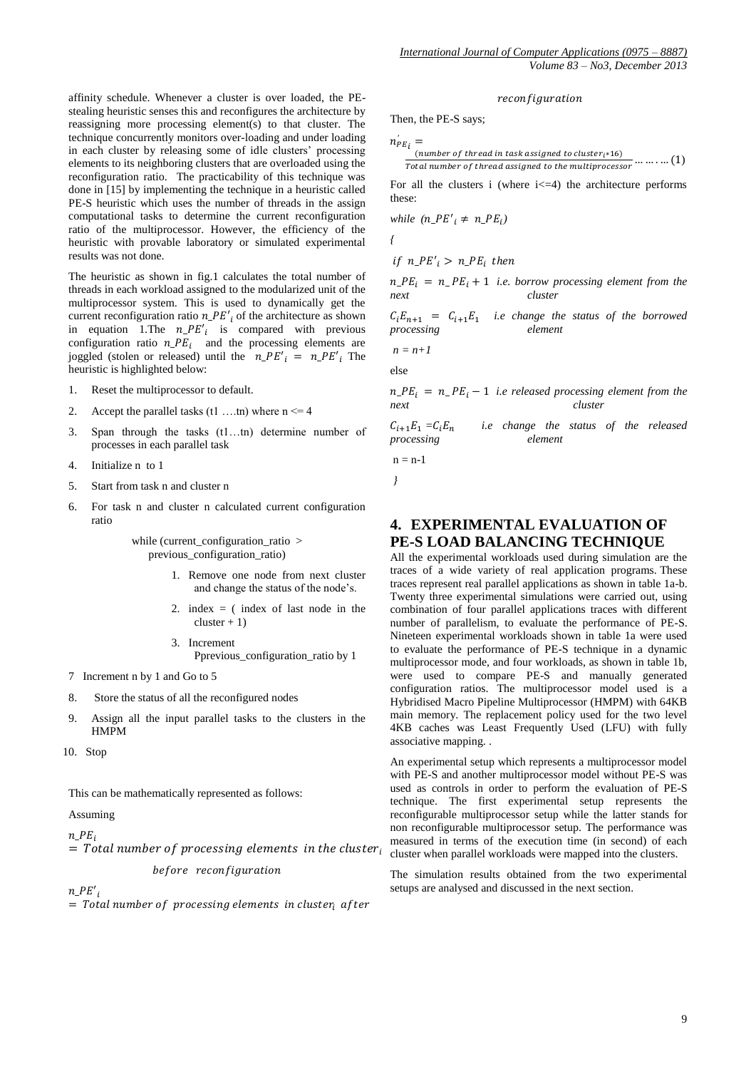affinity schedule. Whenever a cluster is over loaded, the PEstealing heuristic senses this and reconfigures the architecture by reassigning more processing element(s) to that cluster. The technique concurrently monitors over-loading and under loading in each cluster by releasing some of idle clusters' processing elements to its neighboring clusters that are overloaded using the reconfiguration ratio. The practicability of this technique was done in [15] by implementing the technique in a heuristic called PE-S heuristic which uses the number of threads in the assign computational tasks to determine the current reconfiguration ratio of the multiprocessor. However, the efficiency of the heuristic with provable laboratory or simulated experimental results was not done.

The heuristic as shown in fig.1 calculates the total number of threads in each workload assigned to the modularized unit of the multiprocessor system. This is used to dynamically get the current reconfiguration ratio  $n_{\text{P}}E'_{i}$  of the architecture as shown in equation 1. The  $n_{\text{P}}E_i'$  is compared with previous configuration ratio  $n_{\text{P}}E_i$  and the processing elements are joggled (stolen or released) until the  $n_{\text{p}} E'_{i} = n_{\text{p}} E'_{i}$  The heuristic is highlighted below:

- 1. Reset the multiprocessor to default.
- 2. Accept the parallel tasks  $(t1 \dots t n)$  where  $n \le 4$
- 3. Span through the tasks (t1…tn) determine number of processes in each parallel task
- 4. Initialize n to 1
- 5. Start from task n and cluster n
- 6. For task n and cluster n calculated current configuration ratio

while (current\_configuration\_ratio > previous\_configuration\_ratio)

- 1. Remove one node from next cluster and change the status of the node's.
- 2. index  $=$  (index of last node in the  $cluster + 1$ )
- 3. Increment Pprevious\_configuration\_ratio by 1
- 7 Increment n by 1 and Go to 5
- 8. Store the status of all the reconfigured nodes
- 9. Assign all the input parallel tasks to the clusters in the HMPM
- 10. Stop

This can be mathematically represented as follows:

#### Assuming

 $n$   $PE_i$ 

 $=$  Total number of processing elements in the cluster before reconfiguration

 $n\_PE'_{i}$ 

 $=$  Total number of processing elements in cluster after

#### reconfiguration

Then, the PE-S says;

$$
n^{'}_{PE\,i}=
$$

$$
\frac{(number\ of\ thread\ in\ task\ assigned\ to\ cluster_{i^*}16)}{Total\ number\ of\ thread\ assigned\ to\ the\ multiprocessor}
$$
........(1)

For all the clusters i (where  $i \leq -4$ ) the architecture performs these:

while 
$$
(n_{\text{P}}E'_i \neq n_{\text{P}}E_i)
$$

*{*

$$
if n_{\perp}PE'_{i} > n_{\perp}PE_{i} then
$$

 $n_{\text{I}}PE_i = n_{\text{I}}PE_i + 1$  *i.e. borrow processing element from the next cluster*

 $C_i E_{n+1} = C_{i+1} E_1$  *i.e change the status of the borrowed processing element* 

 $n = n+1$ 

else

 $n_{\text{I}}PE_i = n_{\text{I}} PE_i - 1$  *i.e released processing element from the next cluster*

$$
C_{i+1}E_1 = C_iE_n
$$
 i.e change the status of the released processing element

 $n = n-1$ *}*

# **4. EXPERIMENTAL EVALUATION OF PE-S LOAD BALANCING TECHNIQUE**

All the experimental workloads used during simulation are the traces of a wide variety of real application programs. These traces represent real parallel applications as shown in table 1a-b. Twenty three experimental simulations were carried out, using combination of four parallel applications traces with different number of parallelism, to evaluate the performance of PE-S. Nineteen experimental workloads shown in table 1a were used to evaluate the performance of PE-S technique in a dynamic multiprocessor mode, and four workloads, as shown in table 1b, were used to compare PE-S and manually generated configuration ratios. The multiprocessor model used is a Hybridised Macro Pipeline Multiprocessor (HMPM) with 64KB main memory. The replacement policy used for the two level 4KB caches was Least Frequently Used (LFU) with fully associative mapping. .

An experimental setup which represents a multiprocessor model with PE-S and another multiprocessor model without PE-S was used as controls in order to perform the evaluation of PE-S technique. The first experimental setup represents the reconfigurable multiprocessor setup while the latter stands for non reconfigurable multiprocessor setup. The performance was measured in terms of the execution time (in second) of each cluster when parallel workloads were mapped into the clusters.

The simulation results obtained from the two experimental setups are analysed and discussed in the next section.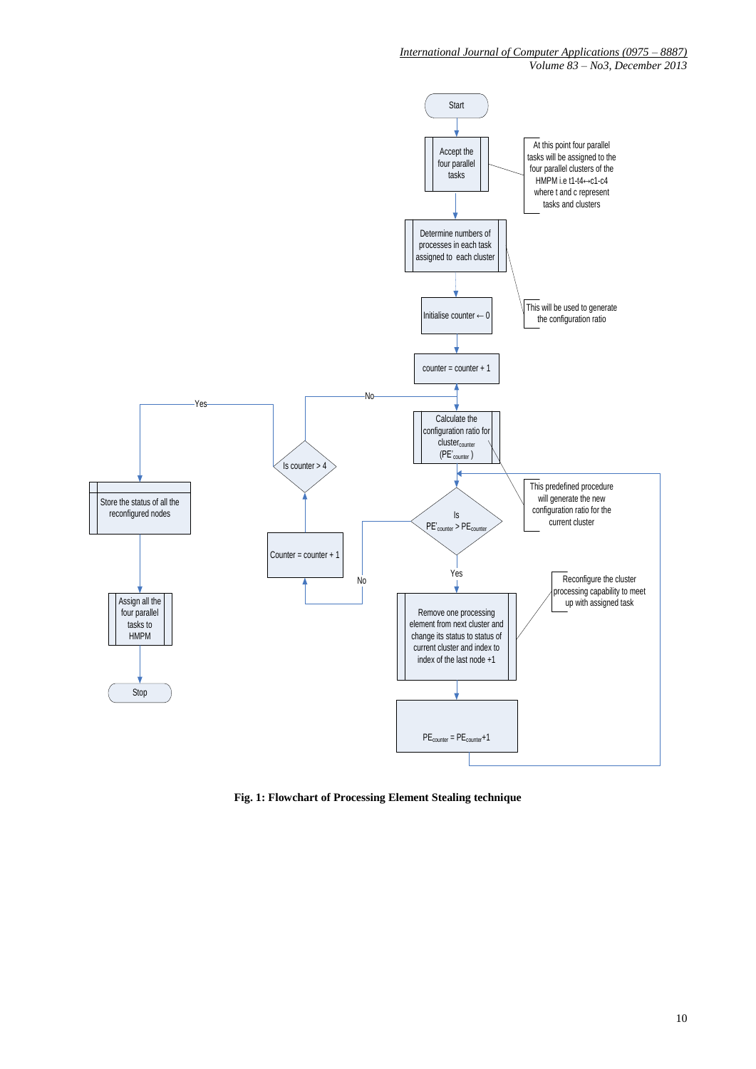*International Journal of Computer Applications (0975 – 8887)*

*Volume 83 – No3, December 2013*



**Fig. 1: Flowchart of Processing Element Stealing technique**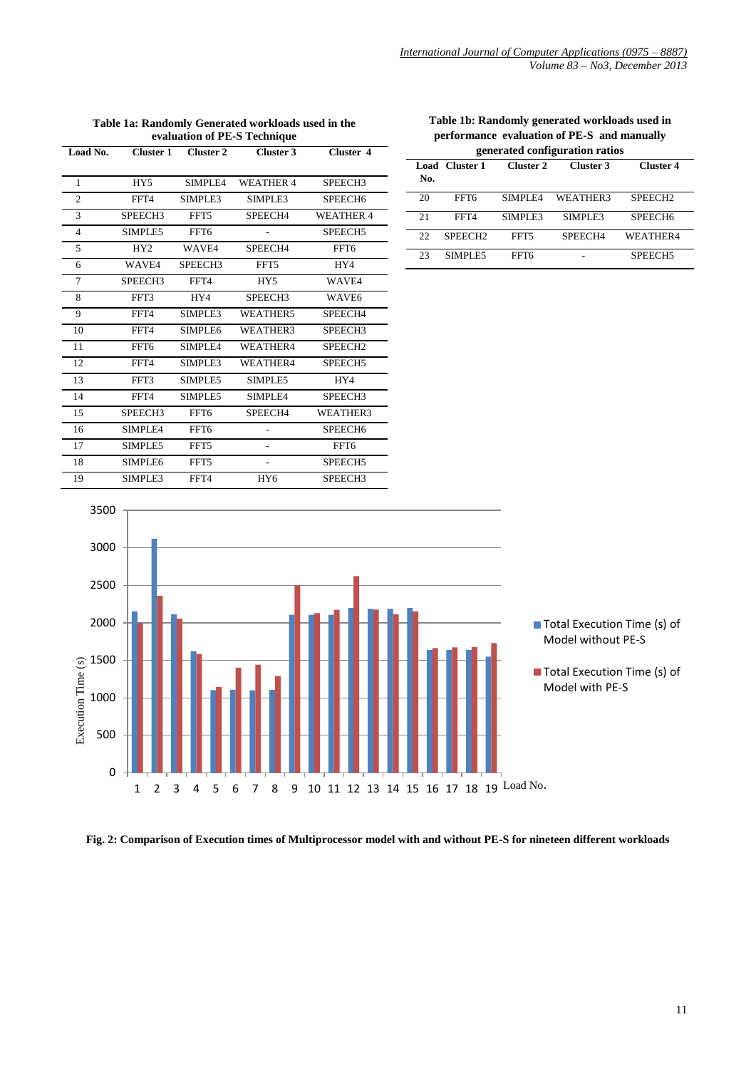| Load No.       |                 | Cluster 1 Cluster 2 | Cluster 3           | Cluster 4           |
|----------------|-----------------|---------------------|---------------------|---------------------|
|                |                 |                     |                     |                     |
| 1              | HY5             | SIMPLE4             | <b>WEATHER 4</b>    | SPEECH3             |
| $\overline{c}$ | FFT4            | SIMPLE3             | SIMPLE3             | SPEECH <sub>6</sub> |
| 3              | SPEECH3         | FFT5                | SPEECH4             | <b>WEATHER 4</b>    |
| 4              | SIMPLE5         | FFT6                |                     | SPEECH5             |
| 5              | HY <sub>2</sub> | <b>WAVE4</b>        | SPEECH4             | FFT6                |
| 6              | WAVE4           | SPEECH3             | FFT5                | HY4                 |
| 7              | SPEECH3         | FFT4                | HY5                 | WAVE4               |
| 8              | FFT3            | HY4                 | SPEECH <sub>3</sub> | WAVE6               |
| 9              | FFT4            | SIMPLE3             | WEATHER5            | SPEECH4             |
| 10             | FFT4            | SIMPLE6             | WEATHER3            | SPEECH3             |
| 11             | FFT6            | SIMPLE4             | WEATHER4            | SPEECH <sub>2</sub> |
| 12             | FFT4            | SIMPLE3             | WEATHER4            | SPEECH5             |
| 13             | FFT3            | SIMPLE5             | SIMPLE5             | HY4                 |
| 14             | FFT4            | SIMPLE5             | SIMPLE4             | SPEECH <sub>3</sub> |
| 15             | SPEECH3         | FFT6                | SPEECH4             | WEATHER3            |
| 16             | SIMPLE4         | FFT6                |                     | SPEECH <sub>6</sub> |
| 17             | SIMPLE5         | FFT5                |                     | FFT6                |
| 18             | SIMPLE6         | FFT5                |                     | SPEECH <sub>5</sub> |
| 19             | SIMPLE3         | FFT4                | HY <sub>6</sub>     | SPEECH <sub>3</sub> |

**Table 1a: Randomly Generated workloads used in the evaluation of PE-S Technique**

**Table 1b: Randomly generated workloads used in performance evaluation of PE-S and manually generated configuration ratios**

| geherated comigui ation ratios |                     |           |           |                     |  |  |
|--------------------------------|---------------------|-----------|-----------|---------------------|--|--|
| No.                            | Load Cluster 1      | Cluster 2 | Cluster 3 | <b>Cluster 4</b>    |  |  |
| 20                             | FFT6                | SIMPLE4   | WEATHER3  | SPEECH <sub>2</sub> |  |  |
| 21                             | FFT4                | SIMPLE3   | SIMPLE3   | SPEECH <sub>6</sub> |  |  |
| 22                             | SPEECH <sub>2</sub> | FFT5      | SPEECH4   | WEATHER4            |  |  |
| 23                             | SIMPLE5             | FFT6      |           | SPEECH <sub>5</sub> |  |  |



**Fig. 2: Comparison of Execution times of Multiprocessor model with and without PE-S for nineteen different workloads**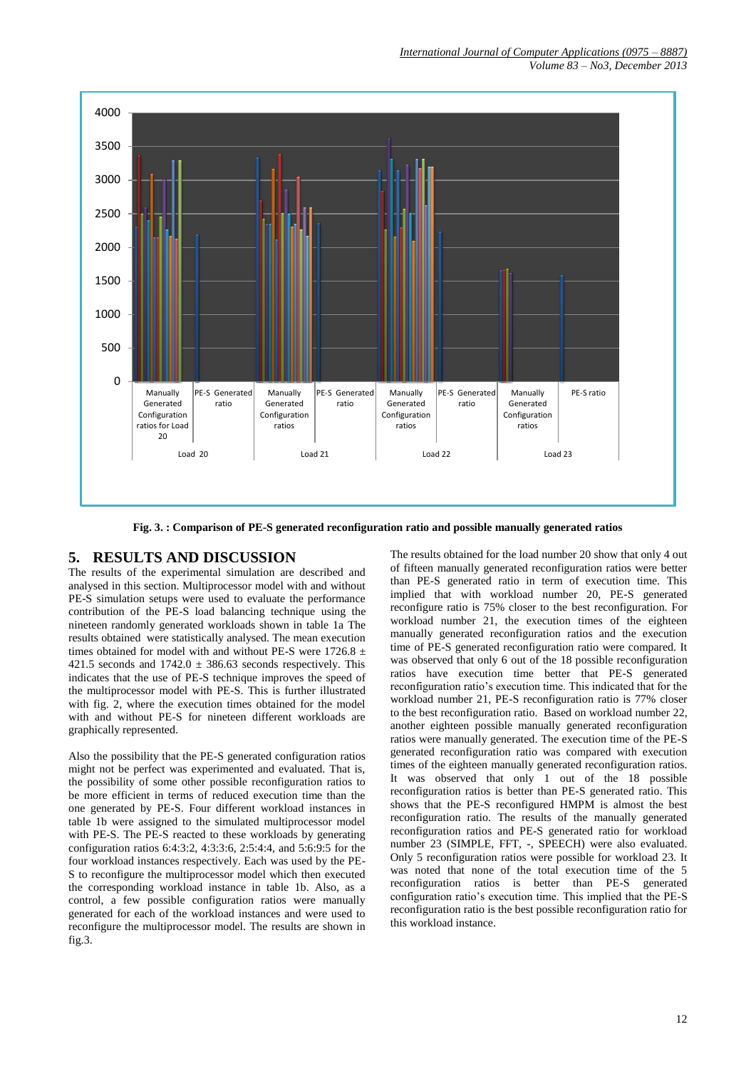

**Fig. 3. : Comparison of PE-S generated reconfiguration ratio and possible manually generated ratios**

# **5. RESULTS AND DISCUSSION**

The results of the experimental simulation are described and analysed in this section. Multiprocessor model with and without PE-S simulation setups were used to evaluate the performance contribution of the PE-S load balancing technique using the nineteen randomly generated workloads shown in table 1a The results obtained were statistically analysed. The mean execution times obtained for model with and without PE-S were 1726.8  $\pm$ 421.5 seconds and  $1742.0 \pm 386.63$  seconds respectively. This indicates that the use of PE-S technique improves the speed of the multiprocessor model with PE-S. This is further illustrated with fig. 2, where the execution times obtained for the model with and without PE-S for nineteen different workloads are graphically represented.

Also the possibility that the PE-S generated configuration ratios might not be perfect was experimented and evaluated. That is, the possibility of some other possible reconfiguration ratios to be more efficient in terms of reduced execution time than the one generated by PE-S. Four different workload instances in table 1b were assigned to the simulated multiprocessor model with PE-S. The PE-S reacted to these workloads by generating configuration ratios 6:4:3:2, 4:3:3:6, 2:5:4:4, and 5:6:9:5 for the four workload instances respectively. Each was used by the PE-S to reconfigure the multiprocessor model which then executed the corresponding workload instance in table 1b. Also, as a control, a few possible configuration ratios were manually generated for each of the workload instances and were used to reconfigure the multiprocessor model. The results are shown in fig.3.

The results obtained for the load number 20 show that only 4 out of fifteen manually generated reconfiguration ratios were better than PE-S generated ratio in term of execution time. This implied that with workload number 20, PE-S generated reconfigure ratio is 75% closer to the best reconfiguration. For workload number 21, the execution times of the eighteen manually generated reconfiguration ratios and the execution time of PE-S generated reconfiguration ratio were compared. It was observed that only 6 out of the 18 possible reconfiguration ratios have execution time better that PE-S generated reconfiguration ratio's execution time. This indicated that for the workload number 21, PE-S reconfiguration ratio is 77% closer to the best reconfiguration ratio. Based on workload number 22, another eighteen possible manually generated reconfiguration ratios were manually generated. The execution time of the PE-S generated reconfiguration ratio was compared with execution times of the eighteen manually generated reconfiguration ratios. It was observed that only 1 out of the 18 possible reconfiguration ratios is better than PE-S generated ratio. This shows that the PE-S reconfigured HMPM is almost the best reconfiguration ratio. The results of the manually generated reconfiguration ratios and PE-S generated ratio for workload number 23 (SIMPLE, FFT, -, SPEECH) were also evaluated. Only 5 reconfiguration ratios were possible for workload 23. It was noted that none of the total execution time of the 5 reconfiguration ratios is better than PE-S generated configuration ratio's execution time. This implied that the PE-S reconfiguration ratio is the best possible reconfiguration ratio for this workload instance.